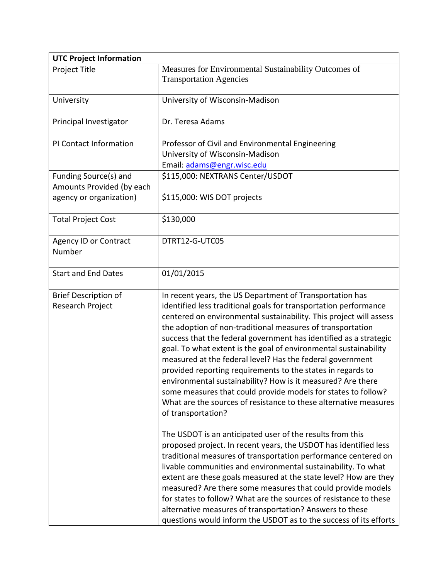| <b>UTC Project Information</b>                                                |                                                                                                                                                                                                                                                                                                                                                                                                                                                                                                                                                                                                                                                                                                                                                                 |
|-------------------------------------------------------------------------------|-----------------------------------------------------------------------------------------------------------------------------------------------------------------------------------------------------------------------------------------------------------------------------------------------------------------------------------------------------------------------------------------------------------------------------------------------------------------------------------------------------------------------------------------------------------------------------------------------------------------------------------------------------------------------------------------------------------------------------------------------------------------|
| Project Title                                                                 | Measures for Environmental Sustainability Outcomes of<br><b>Transportation Agencies</b>                                                                                                                                                                                                                                                                                                                                                                                                                                                                                                                                                                                                                                                                         |
| University                                                                    | University of Wisconsin-Madison                                                                                                                                                                                                                                                                                                                                                                                                                                                                                                                                                                                                                                                                                                                                 |
| Principal Investigator                                                        | Dr. Teresa Adams                                                                                                                                                                                                                                                                                                                                                                                                                                                                                                                                                                                                                                                                                                                                                |
| PI Contact Information                                                        | Professor of Civil and Environmental Engineering<br>University of Wisconsin-Madison<br>Email: adams@engr.wisc.edu                                                                                                                                                                                                                                                                                                                                                                                                                                                                                                                                                                                                                                               |
| Funding Source(s) and<br>Amounts Provided (by each<br>agency or organization) | \$115,000: NEXTRANS Center/USDOT<br>\$115,000: WIS DOT projects                                                                                                                                                                                                                                                                                                                                                                                                                                                                                                                                                                                                                                                                                                 |
| <b>Total Project Cost</b>                                                     | \$130,000                                                                                                                                                                                                                                                                                                                                                                                                                                                                                                                                                                                                                                                                                                                                                       |
| <b>Agency ID or Contract</b><br>Number                                        | DTRT12-G-UTC05                                                                                                                                                                                                                                                                                                                                                                                                                                                                                                                                                                                                                                                                                                                                                  |
| <b>Start and End Dates</b>                                                    | 01/01/2015                                                                                                                                                                                                                                                                                                                                                                                                                                                                                                                                                                                                                                                                                                                                                      |
| <b>Brief Description of</b><br>Research Project                               | In recent years, the US Department of Transportation has<br>identified less traditional goals for transportation performance<br>centered on environmental sustainability. This project will assess<br>the adoption of non-traditional measures of transportation<br>success that the federal government has identified as a strategic<br>goal. To what extent is the goal of environmental sustainability<br>measured at the federal level? Has the federal government<br>provided reporting requirements to the states in regards to<br>environmental sustainability? How is it measured? Are there<br>some measures that could provide models for states to follow?<br>What are the sources of resistance to these alternative measures<br>of transportation? |
|                                                                               | The USDOT is an anticipated user of the results from this<br>proposed project. In recent years, the USDOT has identified less<br>traditional measures of transportation performance centered on<br>livable communities and environmental sustainability. To what<br>extent are these goals measured at the state level? How are they<br>measured? Are there some measures that could provide models<br>for states to follow? What are the sources of resistance to these<br>alternative measures of transportation? Answers to these<br>questions would inform the USDOT as to the success of its efforts                                                                                                                                                       |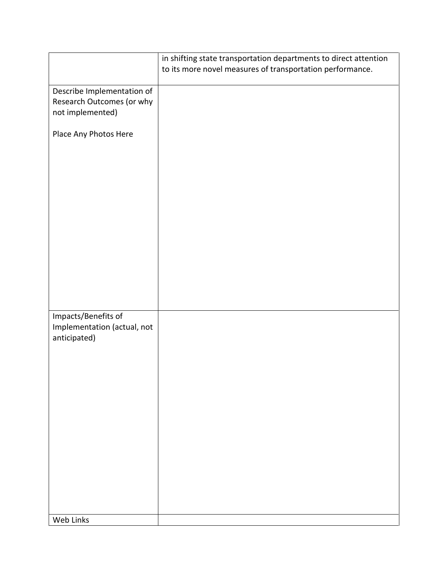|                                                                             | in shifting state transportation departments to direct attention<br>to its more novel measures of transportation performance. |
|-----------------------------------------------------------------------------|-------------------------------------------------------------------------------------------------------------------------------|
| Describe Implementation of<br>Research Outcomes (or why<br>not implemented) |                                                                                                                               |
| Place Any Photos Here                                                       |                                                                                                                               |
| Impacts/Benefits of<br>Implementation (actual, not<br>anticipated)          |                                                                                                                               |
| Web Links                                                                   |                                                                                                                               |